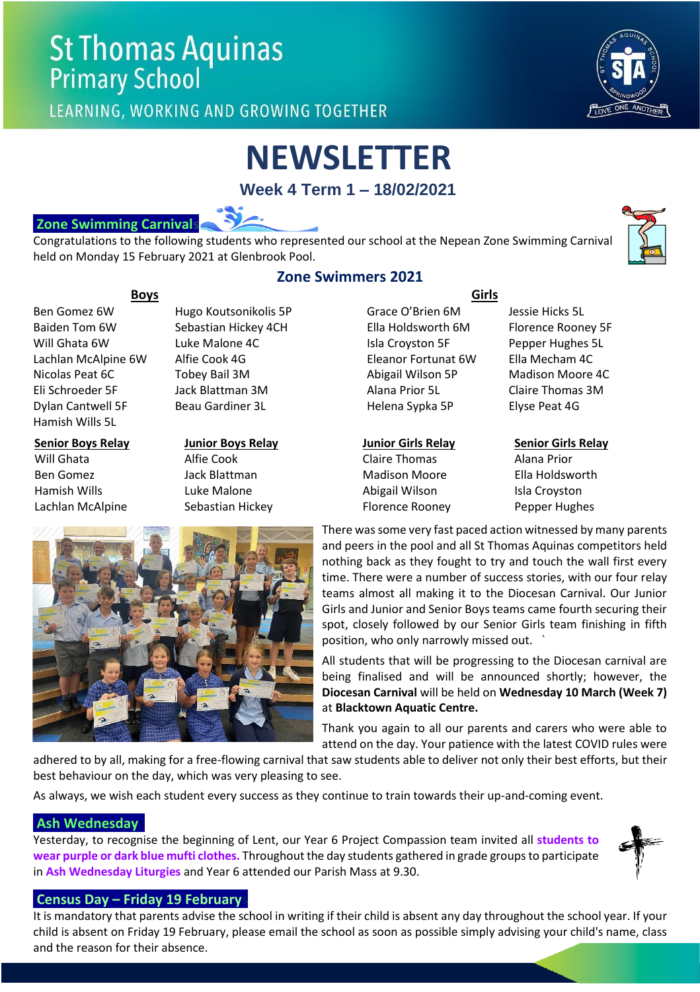## **St Thomas Aquinas Primary School**

LEARNING, WORKING AND GROWING TOGETHER



# **NEWSLETTER**

**Week 4 Term 1 – 18/02/2021**



Congratulations to the following students who represented our school at the Nepean Zone Swimming Carnival held on Monday 15 February 2021 at Glenbrook Pool.



Dylan Cantwell 5F Beau Gardiner 3L Helena Sypka 5P Elyse Peat 4G Hamish Wills 5L

#### **Senior Boys Relay** Will Ghata Ben Gomez Hamish Wills Lachlan McAlpine

**Junior Boys Relay** Alfie Cook Jack Blattman Luke Malone Sebastian Hickey

### **Zone Swimmers 2021**

 **Boys Girls** Ben Gomez 6W Hugo Koutsonikolis 5P Grace O'Brien 6M Jessie Hicks 5L Baiden Tom 6W Sebastian Hickey 4CH Ella Holdsworth 6M Florence Rooney 5F Will Ghata 6W Luke Malone 4C Isla Croyston 5F Pepper Hughes 5L Lachlan McAlpine 6W Alfie Cook 4G **Eleanor Fortunat 6W** Ella Mecham 4C Nicolas Peat 6C Tobey Bail 3M Abigail Wilson 5P Madison Moore 4C Eli Schroeder 5F Jack Blattman 3M Alana Prior 5L Claire Thomas 3M

#### **Junior Girls Relay**

Claire Thomas Madison Moore Abigail Wilson Florence Rooney

**Senior Girls Relay** Alana Prior Ella Holdsworth Isla Croyston Pepper Hughes



There was some very fast paced action witnessed by many parents and peers in the pool and all St Thomas Aquinas competitors held nothing back as they fought to try and touch the wall first every time. There were a number of success stories, with our four relay teams almost all making it to the Diocesan Carnival. Our Junior Girls and Junior and Senior Boys teams came fourth securing their spot, closely followed by our Senior Girls team finishing in fifth position, who only narrowly missed out. `

All students that will be progressing to the Diocesan carnival are being finalised and will be announced shortly; however, the **Diocesan Carnival** will be held on **Wednesday 10 March (Week 7)**  at **Blacktown Aquatic Centre.**

Thank you again to all our parents and carers who were able to attend on the day. Your patience with the latest COVID rules were

adhered to by all, making for a free-flowing carnival that saw students able to deliver not only their best efforts, but their best behaviour on the day, which was very pleasing to see.

As always, we wish each student every success as they continue to train towards their up-and-coming event.

#### **Ash Wednesday**

Yesterday, to recognise the beginning of Lent, our Year 6 Project Compassion team invited all **students to wear purple or dark blue mufti clothes.** Throughout the day students gathered in grade groups to participate in **Ash Wednesday Liturgies** and Year 6 attended our Parish Mass at 9.30.

#### **Census Day – Friday 19 Februarys**

It is mandatory that parents advise the school in writing if their child is absent any day throughout the school year. If your child is absent on Friday 19 February, please email the school as soon as possible simply advising your child's name, class and the reason for their absence.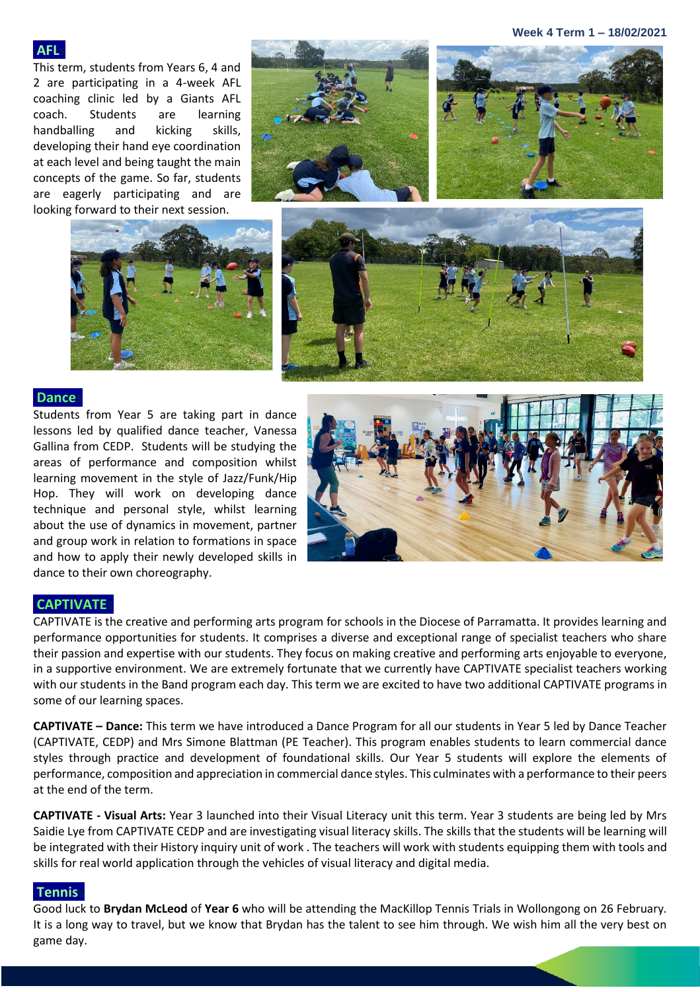**Week 4 Term 1 – 18/02/2021**

#### **AFL**

This term, students from Years 6, 4 and 2 are participating in a 4-week AFL coaching clinic led by a Giants AFL coach. Students are learning handballing and kicking skills, developing their hand eye coordination at each level and being taught the main concepts of the game. So far, students are eagerly participating and are looking forward to their next session.









#### **Dances**

Students from Year 5 are taking part in dance lessons led by qualified dance teacher, Vanessa Gallina from CEDP. Students will be studying the areas of performance and composition whilst learning movement in the style of Jazz/Funk/Hip Hop. They will work on developing dance technique and personal style, whilst learning about the use of dynamics in movement, partner and group work in relation to formations in space and how to apply their newly developed skills in dance to their own choreography.



#### **CAPTIVATEs**

CAPTIVATE is the creative and performing arts program for schools in the Diocese of Parramatta. It provides learning and performance opportunities for students. It comprises a diverse and exceptional range of specialist teachers who share their passion and expertise with our students. They focus on making creative and performing arts enjoyable to everyone, in a supportive environment. We are extremely fortunate that we currently have CAPTIVATE specialist teachers working with our students in the Band program each day. This term we are excited to have two additional CAPTIVATE programs in some of our learning spaces.

**CAPTIVATE – Dance:** This term we have introduced a Dance Program for all our students in Year 5 led by Dance Teacher (CAPTIVATE, CEDP) and Mrs Simone Blattman (PE Teacher). This program enables students to learn commercial dance styles through practice and development of foundational skills. Our Year 5 students will explore the elements of performance, composition and appreciation in commercial dance styles. This culminates with a performance to their peers at the end of the term.

**CAPTIVATE - Visual Arts:** Year 3 launched into their Visual Literacy unit this term. Year 3 students are being led by Mrs Saidie Lye from CAPTIVATE CEDP and are investigating visual literacy skills. The skills that the students will be learning will be integrated with their History inquiry unit of work . The teachers will work with students equipping them with tools and skills for real world application through the vehicles of visual literacy and digital media.

#### **Tenniss**

Good luck to **Brydan McLeod** of **Year 6** who will be attending the MacKillop Tennis Trials in Wollongong on 26 February. It is a long way to travel, but we know that Brydan has the talent to see him through. We wish him all the very best on game day.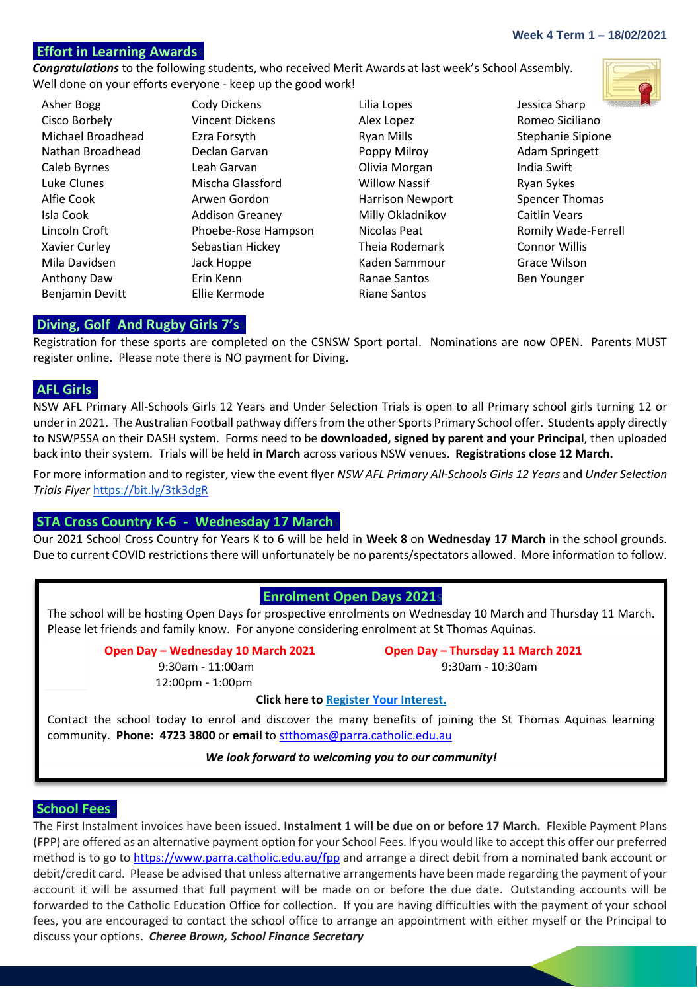#### **Effort in Learning Awards**

*Congratulations* to the following students, who received Merit Awards at last week's School Assembly. Well done on your efforts everyone - keep up the good work!

Cisco Borbely **Cisco Borbely** Vincent Dickens Alex Lopez **Alex Lopez** Romeo Siciliano Michael Broadhead Ezra Forsyth Ryan Mills Ryan Mills Stephanie Sipione Nathan Broadhead Declan Garvan **Poppy Milroy** Poppy Milroy Adam Springett Caleb Byrnes Leah Garvan Olivia Morgan India Swift Luke Clunes Mischa Glassford Willow Nassif Ryan Sykes Alfie Cook **Arwen Gordon** Harrison Newport Spencer Thomas Isla Cook Addison Greaney Milly Okladnikov Caitlin Vears Lincoln Croft **Phoebe-Rose Hampson** Nicolas Peat Romily Wade-Ferrell Xavier Curley **Sebastian Hickey** Theia Rodemark Connor Willis Mila Davidsen Jack Hoppe Kaden Sammour Grace Wilson Anthony Daw **Erin Kenn Example 2** Ranae Santos **Ben Younger** Benjamin Devitt **Ellie Kermode** Riane Santos

Asher Bogg Cody Dickens Lilia Lopes Jessica Sharp



#### **Diving, Golf And Rugby Girls 7'ss**

Registration for these sports are completed on the CSNSW Sport portal. Nominations are now OPEN. Parents MUST register online. Please note there is NO payment for Diving.

#### **AFL Girlss**

NSW AFL Primary All-Schools Girls 12 Years and Under Selection Trials is open to all Primary school girls turning 12 or under in 2021. The Australian Football pathway differs from the other Sports Primary School offer. Students apply directly to NSWPSSA on their DASH system. Forms need to be **downloaded, signed by parent and your Principal**, then uploaded back into their system. Trials will be held **in March** across various NSW venues. **Registrations close 12 March.**

For more information and to register, view the event flyer *NSW AFL Primary All-Schools Girls 12 Years* and *Under Selection Trials Flyer* <https://bit.ly/3tk3dgR>

#### **STA Cross Country K-6 - Wednesday 17 March**

Our 2021 School Cross Country for Years K to 6 will be held in **Week 8** on **Wednesday 17 March** in the school grounds. Due to current COVID restrictions there will unfortunately be no parents/spectators allowed. More information to follow.

#### **Enrolment Open Days 2021s**

The school will be hosting Open Days for prospective enrolments on Wednesday 10 March and Thursday 11 March. Please let friends and family know. For anyone considering enrolment at St Thomas Aquinas.

 **Open Day – Wednesday 10 March 2021 Open Day – Thursday 11 March 2021**

12:00pm - 1:00pm

9:30am - 11:00am 9:30am - 10:30am

**Click here to [Register Your](https://docs.google.com/forms/d/1m7ZaU4l1VM35eH-QEqcXVlV5rwA0WUCOAusptiWuU54/edit) Interest.**

Contact the school today to enrol and discover the many benefits of joining the St Thomas Aquinas learning community. **Phone: 4723 3800** or **email** to [stthomas@parra.catholic.edu.au](mailto:stthomas@parra.catholic.edu.au)

#### *We look forward to welcoming you to our community!*

#### **School Fees**

The First Instalment invoices have been issued. **Instalment 1 will be due on or before 17 March.** Flexible Payment Plans (FPP) are offered as an alternative payment option for your School Fees. If you would like to accept this offer our preferred method is to go to <https://www.parra.catholic.edu.au/fpp> and arrange a direct debit from a nominated bank account or debit/credit card. Please be advised that unless alternative arrangements have been made regarding the payment of your account it will be assumed that full payment will be made on or before the due date. Outstanding accounts will be forwarded to the Catholic Education Office for collection. If you are having difficulties with the payment of your school fees, you are encouraged to contact the school office to arrange an appointment with either myself or the Principal to discuss your options. *Cheree Brown, School Finance Secretary*